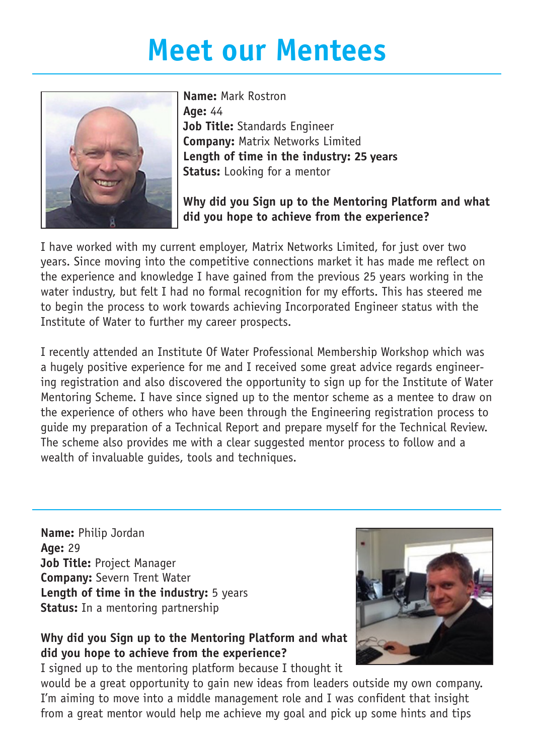## **Meet our Mentees**



**Name:** Mark Rostron **Age:** 44 **Job Title:** Standards Engineer **Company:** Matrix Networks Limited **Length of time in the industry: 25 years Status:** Looking for a mentor

## **Why did you Sign up to the Mentoring Platform and what did you hope to achieve from the experience?**

I have worked with my current employer, Matrix Networks Limited, for just over two years. Since moving into the competitive connections market it has made me reflect on the experience and knowledge I have gained from the previous 25 years working in the water industry, but felt I had no formal recognition for my efforts. This has steered me to begin the process to work towards achieving Incorporated Engineer status with the Institute of Water to further my career prospects.

I recently attended an Institute Of Water Professional Membership Workshop which was a hugely positive experience for me and I received some great advice regards engineering registration and also discovered the opportunity to sign up for the Institute of Water Mentoring Scheme. I have since signed up to the mentor scheme as a mentee to draw on the experience of others who have been through the Engineering registration process to guide my preparation of a Technical Report and prepare myself for the Technical Review. The scheme also provides me with a clear suggested mentor process to follow and a wealth of invaluable guides, tools and techniques.

**Name:** Philip Jordan **Age:** 29 **Job Title:** Project Manager **Company:** Severn Trent Water **Length of time in the industry:** 5 years **Status:** In a mentoring partnership

**Why did you Sign up to the Mentoring Platform and what did you hope to achieve from the experience?**

I signed up to the mentoring platform because I thought it

would be a great opportunity to gain new ideas from leaders outside my own company. I'm aiming to move into a middle management role and I was confident that insight from a great mentor would help me achieve my goal and pick up some hints and tips